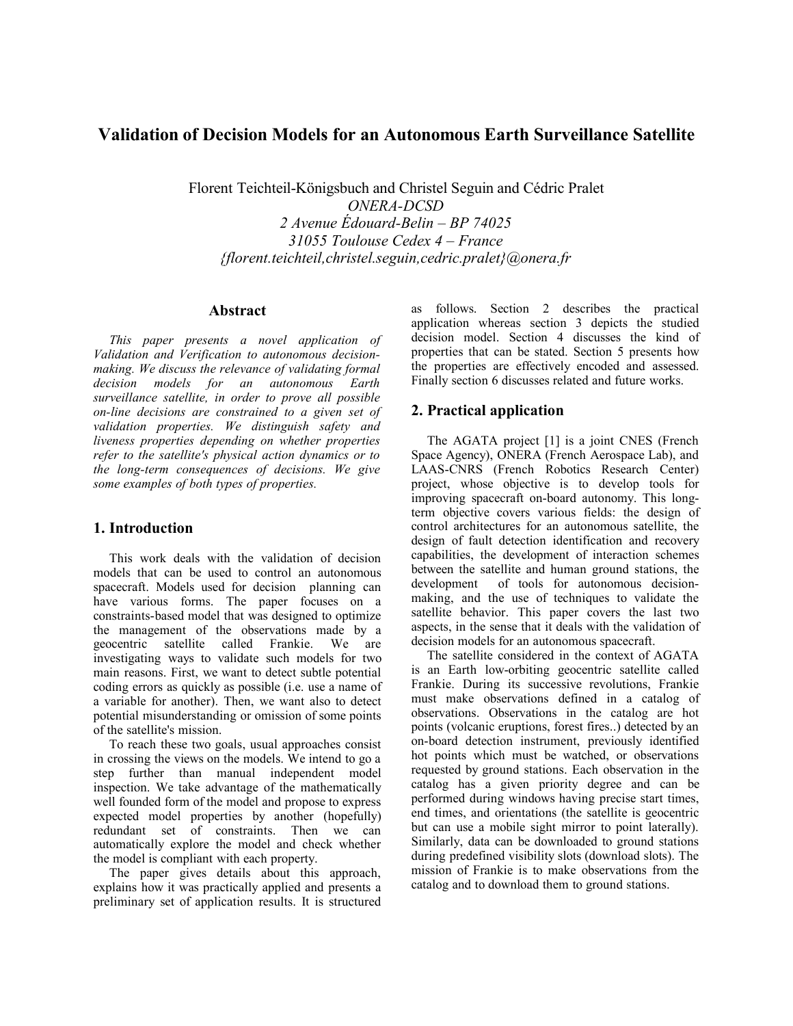# **Validation of Decision Models for an Autonomous Earth Surveillance Satellite**

Florent Teichteil-Königsbuch and Christel Seguin and Cédric Pralet *ONERA-DCSD 2 Avenue Édouard-Belin – BP 74025 31055 Toulouse Cedex 4 – France {florent.teichteil,christel.seguin,cedric.pralet}@onera.fr*

### **Abstract**

*This paper presents a novel application of Validation and Verification to autonomous decisionmaking. We discuss the relevance of validating formal decision models for an autonomous Earth surveillance satellite, in order to prove all possible on-line decisions are constrained to a given set of validation properties. We distinguish safety and liveness properties depending on whether properties refer to the satellite's physical action dynamics or to the long-term consequences of decisions. We give some examples of both types of properties.*

### **1. Introduction**

This work deals with the validation of decision models that can be used to control an autonomous spacecraft. Models used for decision planning can have various forms. The paper focuses on a constraints-based model that was designed to optimize the management of the observations made by a geocentric satellite called Frankie. We are investigating ways to validate such models for two main reasons. First, we want to detect subtle potential coding errors as quickly as possible (i.e. use a name of a variable for another). Then, we want also to detect potential misunderstanding or omission of some points of the satellite's mission.

To reach these two goals, usual approaches consist in crossing the views on the models. We intend to go a step further than manual independent model inspection. We take advantage of the mathematically well founded form of the model and propose to express expected model properties by another (hopefully) redundant set of constraints. Then we can automatically explore the model and check whether the model is compliant with each property.

The paper gives details about this approach, explains how it was practically applied and presents a preliminary set of application results. It is structured as follows. Section 2 describes the practical application whereas section 3 depicts the studied decision model. Section 4 discusses the kind of properties that can be stated. Section 5 presents how the properties are effectively encoded and assessed. Finally section 6 discusses related and future works.

### **2. Practical application**

The AGATA project [1] is a joint CNES (French Space Agency), ONERA (French Aerospace Lab), and LAAS-CNRS (French Robotics Research Center) project, whose objective is to develop tools for improving spacecraft on-board autonomy. This longterm objective covers various fields: the design of control architectures for an autonomous satellite, the design of fault detection identification and recovery capabilities, the development of interaction schemes between the satellite and human ground stations, the development of tools for autonomous decisionmaking, and the use of techniques to validate the satellite behavior. This paper covers the last two aspects, in the sense that it deals with the validation of decision models for an autonomous spacecraft.

The satellite considered in the context of AGATA is an Earth low-orbiting geocentric satellite called Frankie. During its successive revolutions, Frankie must make observations defined in a catalog of observations. Observations in the catalog are hot points (volcanic eruptions, forest fires..) detected by an on-board detection instrument, previously identified hot points which must be watched, or observations requested by ground stations. Each observation in the catalog has a given priority degree and can be performed during windows having precise start times, end times, and orientations (the satellite is geocentric but can use a mobile sight mirror to point laterally). Similarly, data can be downloaded to ground stations during predefined visibility slots (download slots). The mission of Frankie is to make observations from the catalog and to download them to ground stations.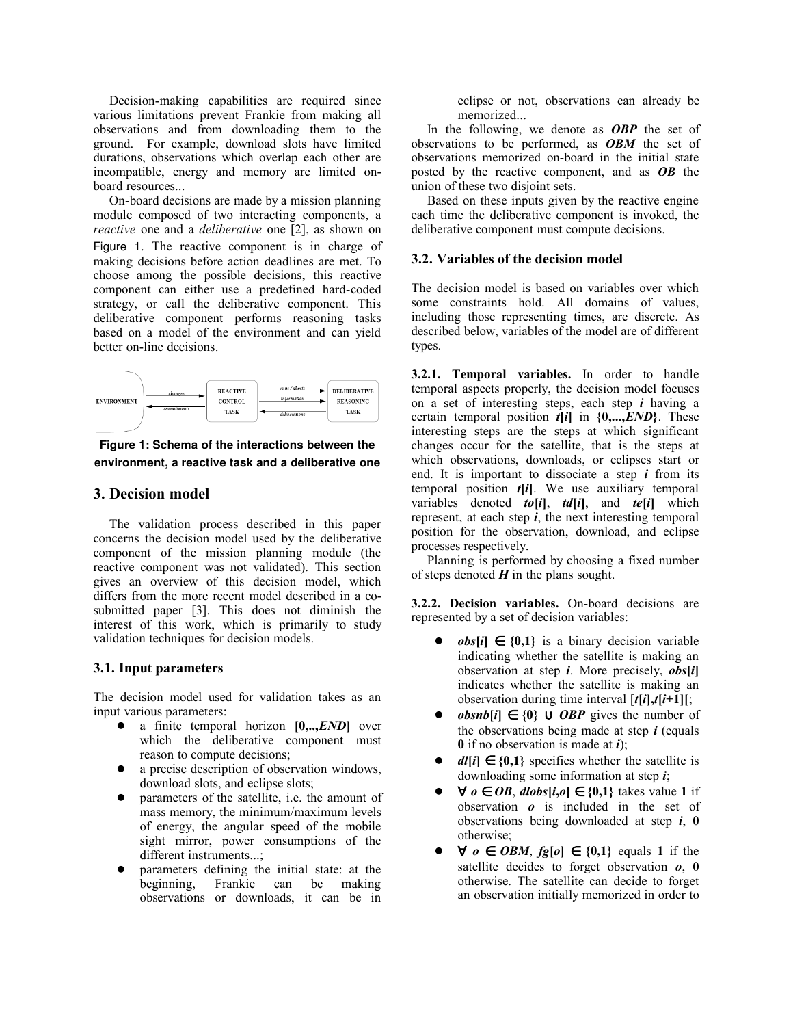Decision-making capabilities are required since various limitations prevent Frankie from making all observations and from downloading them to the ground. For example, download slots have limited durations, observations which overlap each other are incompatible, energy and memory are limited onboard resources...

On-board decisions are made by a mission planning module composed of two interacting components, a *reactive* one and a *deliberative* one [2], as shown on Figure 1. The reactive component is in charge of making decisions before action deadlines are met. To choose among the possible decisions, this reactive component can either use a predefined hard-coded strategy, or call the deliberative component. This deliberative component performs reasoning tasks based on a model of the environment and can yield better on-line decisions.



**Figure 1: Schema of the interactions between the environment, a reactive task and a deliberative one**

### **3. Decision model**

The validation process described in this paper concerns the decision model used by the deliberative component of the mission planning module (the reactive component was not validated). This section gives an overview of this decision model, which differs from the more recent model described in a cosubmitted paper [3]. This does not diminish the interest of this work, which is primarily to study validation techniques for decision models.

### **3.1. Input parameters**

The decision model used for validation takes as an input various parameters:

- a finite temporal horizon **[0,..,***END***]** over which the deliberative component must reason to compute decisions;
- a precise description of observation windows, download slots, and eclipse slots;
- parameters of the satellite, i.e. the amount of mass memory, the minimum/maximum levels of energy, the angular speed of the mobile sight mirror, power consumptions of the different instruments...;
- parameters defining the initial state: at the beginning, Frankie can be making observations or downloads, it can be in

eclipse or not, observations can already be memorized...

In the following, we denote as *OBP* the set of observations to be performed, as *OBM* the set of observations memorized on-board in the initial state posted by the reactive component, and as *OB* the union of these two disjoint sets.

Based on these inputs given by the reactive engine each time the deliberative component is invoked, the deliberative component must compute decisions.

### **3.2. Variables of the decision model**

The decision model is based on variables over which some constraints hold. All domains of values, including those representing times, are discrete. As described below, variables of the model are of different types.

**3.2.1. Temporal variables.** In order to handle temporal aspects properly, the decision model focuses on a set of interesting steps, each step *i* having a certain temporal position *t***[***i***]** in **{0,...,***END***}**. These interesting steps are the steps at which significant changes occur for the satellite, that is the steps at which observations, downloads, or eclipses start or end. It is important to dissociate a step  $i$  from its temporal position *t***[***i***]**. We use auxiliary temporal variables denoted *to*[*i*], *td*[*i*], and *te*[*i*] which represent, at each step  $i$ , the next interesting temporal position for the observation, download, and eclipse processes respectively.

Planning is performed by choosing a fixed number of steps denoted  $H$  in the plans sought.

**3.2.2. Decision variables.** On-board decisions are represented by a set of decision variables:

- *obs***[***i***] ∈** {**0,1**} is a binary decision variable indicating whether the satellite is making an observation at step *i*. More precisely, *obs***[***i***]** indicates whether the satellite is making an observation during time interval  $[t[i], t[i+1]]$ ;
- *obsnb*[ $i$ **]**  $\in$  {0} ∪ *OBP* gives the number of the observations being made at step *i* (equals **0** if no observation is made at *i*);
- $dI[i] \in \{0,1\}$  specifies whether the satellite is downloading some information at step *i*;
- $\bullet$   $\forall$  *o* ∈ *OB*, *dlobs*[*i*,*o*] ∈ {0,1} takes value 1 if observation *o* is included in the set of observations being downloaded at step *i*, **0** otherwise;
- $\bullet \quad \forall \ o \in \text{OBM}, \ \text{fg}[o] \in \{0,1\} \text{ equals 1 if the}$ satellite decides to forget observation *o*, **0** otherwise. The satellite can decide to forget an observation initially memorized in order to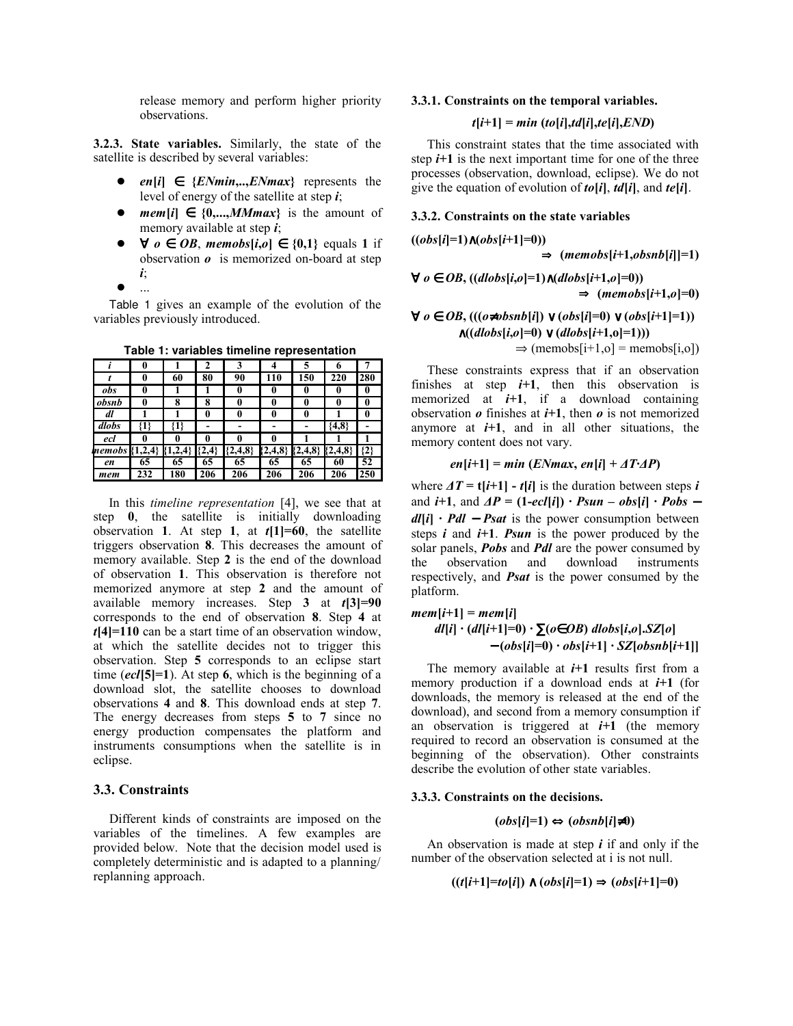release memory and perform higher priority observations.

**3.2.3. State variables.** Similarly, the state of the satellite is described by several variables:

- $en[i] \in \{ENmin, ENmax\}$  represents the level of energy of the satellite at step *i*;
- $mem[i] \in \{0, ..., MMmax\}$  is the amount of memory available at step *i*;
- ∀ *o* ∈ *OB*, *memobs***[***i***,***o***]** ∈ **{0,1}** equals **1** if observation *o* is memorized on-board at step *i*;
- $\bullet$ ....

Table 1 gives an example of the evolution of the variables previously introduced.

**Table 1: variables timeline representation**

|                     | 0   |           | 2         | 3         | 4         |           | 6         |       |
|---------------------|-----|-----------|-----------|-----------|-----------|-----------|-----------|-------|
|                     | 0   | 60        | 80        | 90        | 110       | 150       | 220       | 280   |
| obs                 | 0   |           |           | 0         |           | 0         | 0         |       |
| obsnb               | 0   | 8         | 8         | 0         | 0         | 0         | 0         |       |
| dl                  |     |           | 0         | 0         | 0         | 0         |           |       |
| dlobs               | {1} | {1}       |           |           |           |           | ${4,8}$   |       |
| ecl                 |     | 0         | 0         | 0         |           |           |           |       |
| $members$ ${1,2,4}$ |     | ${1,2,4}$ | $\{2,4\}$ | ${2,4,8}$ | ${2,4,8}$ | ${2,4,8}$ | ${2,4,8}$ | ${2}$ |
| en                  | 65  | 65        | 65        | 65        | 65        | 65        | 60        | 52    |
| mem                 | 232 | 180       | 206       | 206       | 206       | 206       | 206       | 250   |

In this *timeline representation* [4], we see that at step **0**, the satellite is initially downloading observation **1**. At step **1**, at *t***[1]=60**, the satellite triggers observation **8**. This decreases the amount of memory available. Step **2** is the end of the download of observation **1**. This observation is therefore not memorized anymore at step **2** and the amount of available memory increases. Step **3** at *t***[3]=90** corresponds to the end of observation **8**. Step **4** at *t***[4]=110** can be a start time of an observation window, at which the satellite decides not to trigger this observation. Step **5** corresponds to an eclipse start time (*ecl***[5]=1**). At step **6**, which is the beginning of a download slot, the satellite chooses to download observations **4** and **8**. This download ends at step **7**. The energy decreases from steps **5** to **7** since no energy production compensates the platform and instruments consumptions when the satellite is in eclipse.

### **3.3. Constraints**

Different kinds of constraints are imposed on the variables of the timelines. A few examples are provided below. Note that the decision model used is completely deterministic and is adapted to a planning/ replanning approach.

#### **3.3.1. Constraints on the temporal variables.**

#### $t[i+1] = min (to[i], td[i], te[i], END)$

This constraint states that the time associated with step  $i+1$  is the next important time for one of the three processes (observation, download, eclipse). We do not give the equation of evolution of *to***[***i***]**, *td***[***i***]**, and *te***[***i***]**.

#### **3.3.2. Constraints on the state variables**

$$
((obs[i]=1)\land (obs[i+1]=0))
$$

 $\Rightarrow$  (*memobs*[ $i+1,$ *obsnb*[ $i$ ]]=1)

∀ *o* ∈ *OB***, ((***dlobs***[***i***,***o***]=1)**∧**(***dlobs***[***i+***1,***o***]=0))**  $\Rightarrow$  (*memobs*[*i*+1,*o*]=0)

### ∀ *o* ∈ *OB***, (((***o*≠*obsnb***[***i***])** ∨ **(***obs***[***i***]=0)** ∨ **(***obs***[***i+***1]=1))**  ∧**((***dlobs***[***i***,***o***]=0)** ∨ **(***dlobs***[***i+***1,o]=1)))**   $\Rightarrow$  (memobs[i+1,o] = memobs[i,o])

These constraints express that if an observation finishes at step  $i+1$ , then this observation is memorized at  $i+1$ , if a download containing observation *o* finishes at *i+***1**, then *o* is not memorized anymore at  $i+1$ , and in all other situations, the memory content does not vary.

$$
en[i+1] = min (ENmax, en[i] + \Delta T \cdot \Delta P)
$$

where  $\Delta T = t[i+1] - t[i]$  is the duration between steps *i* and  $i+1$ , and  $\Delta P = (1 - e c l |i|) \cdot P \sin n - \omega b s |i| \cdot P \omega b s$  $dI[i] \cdot PdI - Psat$  is the power consumption between steps  $\boldsymbol{i}$  and  $\boldsymbol{i}+1$ . *Psun* is the power produced by the solar panels, **Pobs** and **Pdl** are the power consumed by the observation and download instruments the observation and download instruments respectively, and *Psat* is the power consumed by the platform.

$$
mem[i+1] = mem[i]
$$
  
d[*i*] · (d[*i*+1]=0) ·  $\Sigma$ ( $o \in OB$ ) d[*obs*[*i*, $o$ ]. $SZ[o]$   
– ( $obs[i]$ =0) ·  $obs[i+1]$  ·  $SZ[obsnb[i+1]]$ 

The memory available at  $i+1$  results first from a memory production if a download ends at *i+***1** (for downloads, the memory is released at the end of the download), and second from a memory consumption if an observation is triggered at  $i+1$  (the memory required to record an observation is consumed at the beginning of the observation). Other constraints describe the evolution of other state variables.

#### **3.3.3. Constraints on the decisions.**

#### **(***obs***[***i***]=1)** ⇔ **(***obsnb***[***i***]**≠**0)**

An observation is made at step *i* if and only if the number of the observation selected at i is not null.

$$
((t[i+1]=to[i]) \land (obs[i]=1) \Rightarrow (obs[i+1]=0)
$$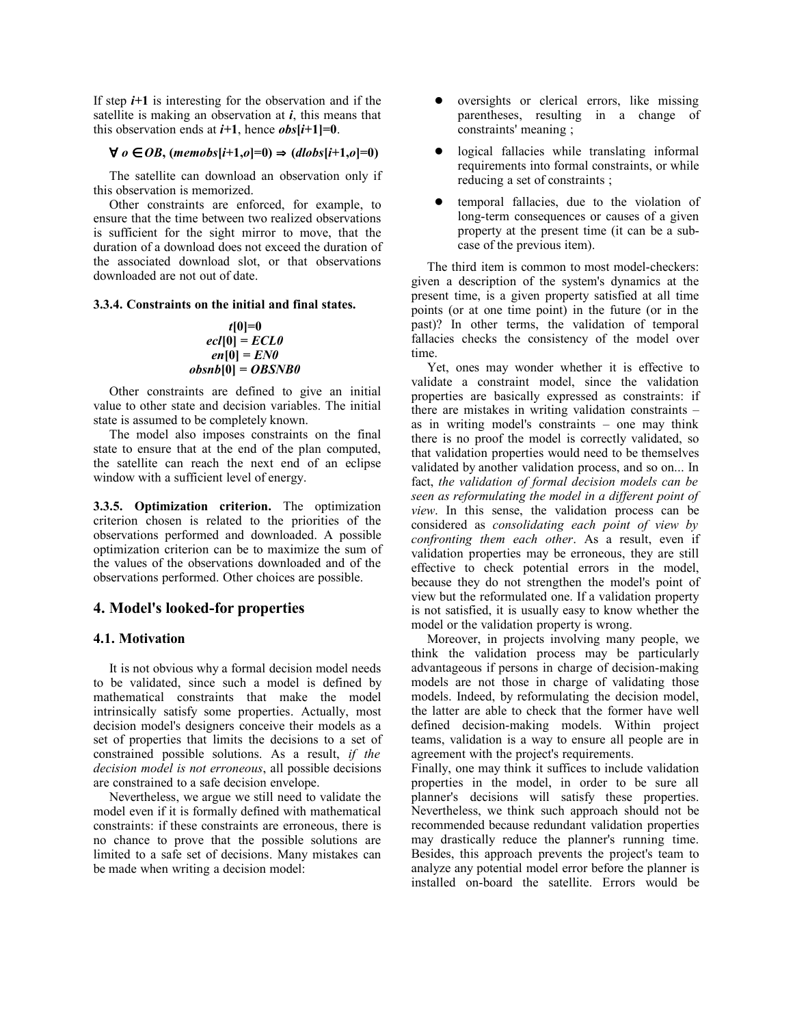If step *i+***1** is interesting for the observation and if the satellite is making an observation at *i*, this means that this observation ends at  $\vec{i}+1$ , hence  $\vec{obs}[\vec{i}+1]=0$ .

#### ∀ *o* ∈ *OB***, (***memobs***[***i+***1,***o***]=0)** ⇒ **(***dlobs***[***i+***1,***o***]=0)**

The satellite can download an observation only if this observation is memorized.

Other constraints are enforced, for example, to ensure that the time between two realized observations is sufficient for the sight mirror to move, that the duration of a download does not exceed the duration of the associated download slot, or that observations downloaded are not out of date.

#### **3.3.4. Constraints on the initial and final states.**

$$
t[0]=0
$$
  
ecl[0] = ECL0  
en[0] = EN0  
obsnb[0] = OBSNB0

Other constraints are defined to give an initial value to other state and decision variables. The initial state is assumed to be completely known.

The model also imposes constraints on the final state to ensure that at the end of the plan computed, the satellite can reach the next end of an eclipse window with a sufficient level of energy.

**3.3.5. Optimization criterion.** The optimization criterion chosen is related to the priorities of the observations performed and downloaded. A possible optimization criterion can be to maximize the sum of the values of the observations downloaded and of the observations performed. Other choices are possible.

### **4. Model's looked-for properties**

### **4.1. Motivation**

It is not obvious why a formal decision model needs to be validated, since such a model is defined by mathematical constraints that make the model intrinsically satisfy some properties. Actually, most decision model's designers conceive their models as a set of properties that limits the decisions to a set of constrained possible solutions. As a result, *if the decision model is not erroneous*, all possible decisions are constrained to a safe decision envelope.

Nevertheless, we argue we still need to validate the model even if it is formally defined with mathematical constraints: if these constraints are erroneous, there is no chance to prove that the possible solutions are limited to a safe set of decisions. Many mistakes can be made when writing a decision model:

- oversights or clerical errors, like missing parentheses, resulting in a change of constraints' meaning ;
- logical fallacies while translating informal requirements into formal constraints, or while reducing a set of constraints ;
- temporal fallacies, due to the violation of long-term consequences or causes of a given property at the present time (it can be a subcase of the previous item).

The third item is common to most model-checkers: given a description of the system's dynamics at the present time, is a given property satisfied at all time points (or at one time point) in the future (or in the past)? In other terms, the validation of temporal fallacies checks the consistency of the model over time.

Yet, ones may wonder whether it is effective to validate a constraint model, since the validation properties are basically expressed as constraints: if there are mistakes in writing validation constraints – as in writing model's constraints – one may think there is no proof the model is correctly validated, so that validation properties would need to be themselves validated by another validation process, and so on... In fact, *the validation of formal decision models can be seen as reformulating the model in a different point of view*. In this sense, the validation process can be considered as *consolidating each point of view by confronting them each other*. As a result, even if validation properties may be erroneous, they are still effective to check potential errors in the model, because they do not strengthen the model's point of view but the reformulated one. If a validation property is not satisfied, it is usually easy to know whether the model or the validation property is wrong.

Moreover, in projects involving many people, we think the validation process may be particularly advantageous if persons in charge of decision-making models are not those in charge of validating those models. Indeed, by reformulating the decision model, the latter are able to check that the former have well defined decision-making models. Within project teams, validation is a way to ensure all people are in agreement with the project's requirements.

Finally, one may think it suffices to include validation properties in the model, in order to be sure all planner's decisions will satisfy these properties. Nevertheless, we think such approach should not be recommended because redundant validation properties may drastically reduce the planner's running time. Besides, this approach prevents the project's team to analyze any potential model error before the planner is installed on-board the satellite. Errors would be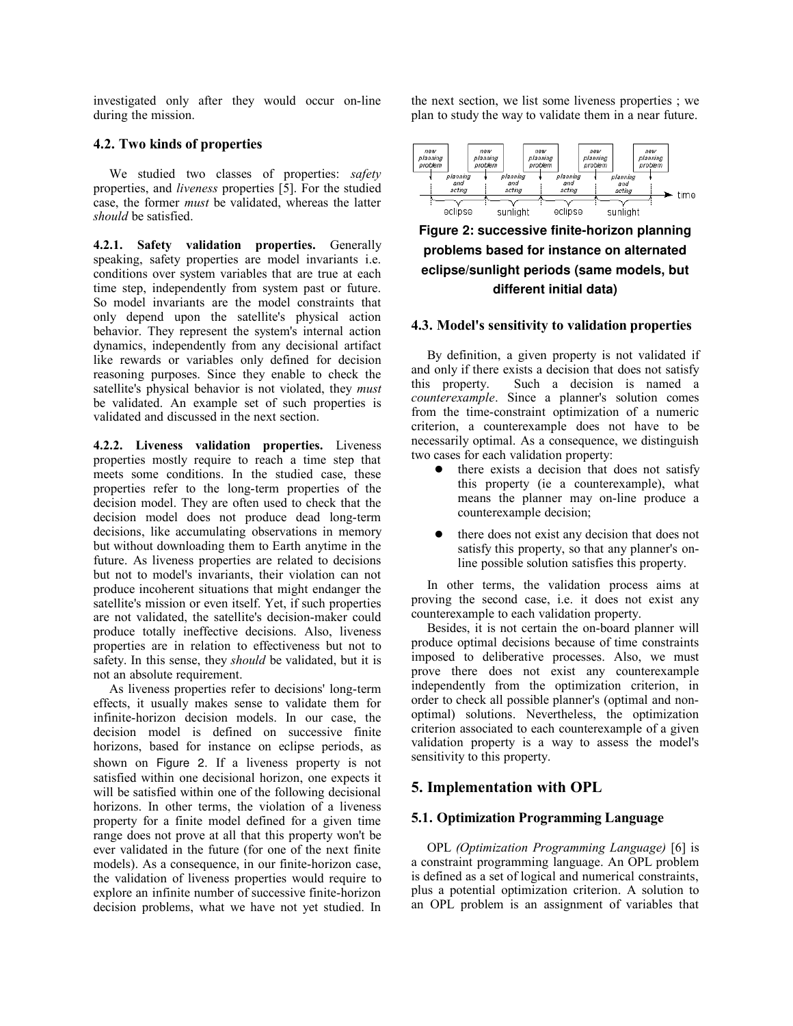investigated only after they would occur on-line during the mission.

#### **4.2. Two kinds of properties**

We studied two classes of properties: *safety* properties, and *liveness* properties [5]. For the studied case, the former *must* be validated, whereas the latter *should* be satisfied.

**4.2.1. Safety validation properties.** Generally speaking, safety properties are model invariants i.e. conditions over system variables that are true at each time step, independently from system past or future. So model invariants are the model constraints that only depend upon the satellite's physical action behavior. They represent the system's internal action dynamics, independently from any decisional artifact like rewards or variables only defined for decision reasoning purposes. Since they enable to check the satellite's physical behavior is not violated, they *must* be validated. An example set of such properties is validated and discussed in the next section.

**4.2.2. Liveness validation properties.** Liveness properties mostly require to reach a time step that meets some conditions. In the studied case, these properties refer to the long-term properties of the decision model. They are often used to check that the decision model does not produce dead long-term decisions, like accumulating observations in memory but without downloading them to Earth anytime in the future. As liveness properties are related to decisions but not to model's invariants, their violation can not produce incoherent situations that might endanger the satellite's mission or even itself. Yet, if such properties are not validated, the satellite's decision-maker could produce totally ineffective decisions. Also, liveness properties are in relation to effectiveness but not to safety. In this sense, they *should* be validated, but it is not an absolute requirement.

As liveness properties refer to decisions' long-term effects, it usually makes sense to validate them for infinite-horizon decision models. In our case, the decision model is defined on successive finite horizons, based for instance on eclipse periods, as shown on Figure 2. If a liveness property is not satisfied within one decisional horizon, one expects it will be satisfied within one of the following decisional horizons. In other terms, the violation of a liveness property for a finite model defined for a given time range does not prove at all that this property won't be ever validated in the future (for one of the next finite models). As a consequence, in our finite-horizon case, the validation of liveness properties would require to explore an infinite number of successive finite-horizon decision problems, what we have not yet studied. In

the next section, we list some liveness properties ; we plan to study the way to validate them in a near future.



**Figure 2: successive finite-horizon planning problems based for instance on alternated eclipse/sunlight periods (same models, but different initial data)**

#### **4.3. Model's sensitivity to validation properties**

By definition, a given property is not validated if and only if there exists a decision that does not satisfy this property. Such a decision is named a *counterexample*. Since a planner's solution comes from the time-constraint optimization of a numeric criterion, a counterexample does not have to be necessarily optimal. As a consequence, we distinguish two cases for each validation property:

- there exists a decision that does not satisfy this property (ie a counterexample), what means the planner may on-line produce a counterexample decision;
- there does not exist any decision that does not satisfy this property, so that any planner's online possible solution satisfies this property.

In other terms, the validation process aims at proving the second case, i.e. it does not exist any counterexample to each validation property.

Besides, it is not certain the on-board planner will produce optimal decisions because of time constraints imposed to deliberative processes. Also, we must prove there does not exist any counterexample independently from the optimization criterion, in order to check all possible planner's (optimal and nonoptimal) solutions. Nevertheless, the optimization criterion associated to each counterexample of a given validation property is a way to assess the model's sensitivity to this property.

### **5. Implementation with OPL**

### **5.1. Optimization Programming Language**

OPL *(Optimization Programming Language)* [6] is a constraint programming language. An OPL problem is defined as a set of logical and numerical constraints, plus a potential optimization criterion. A solution to an OPL problem is an assignment of variables that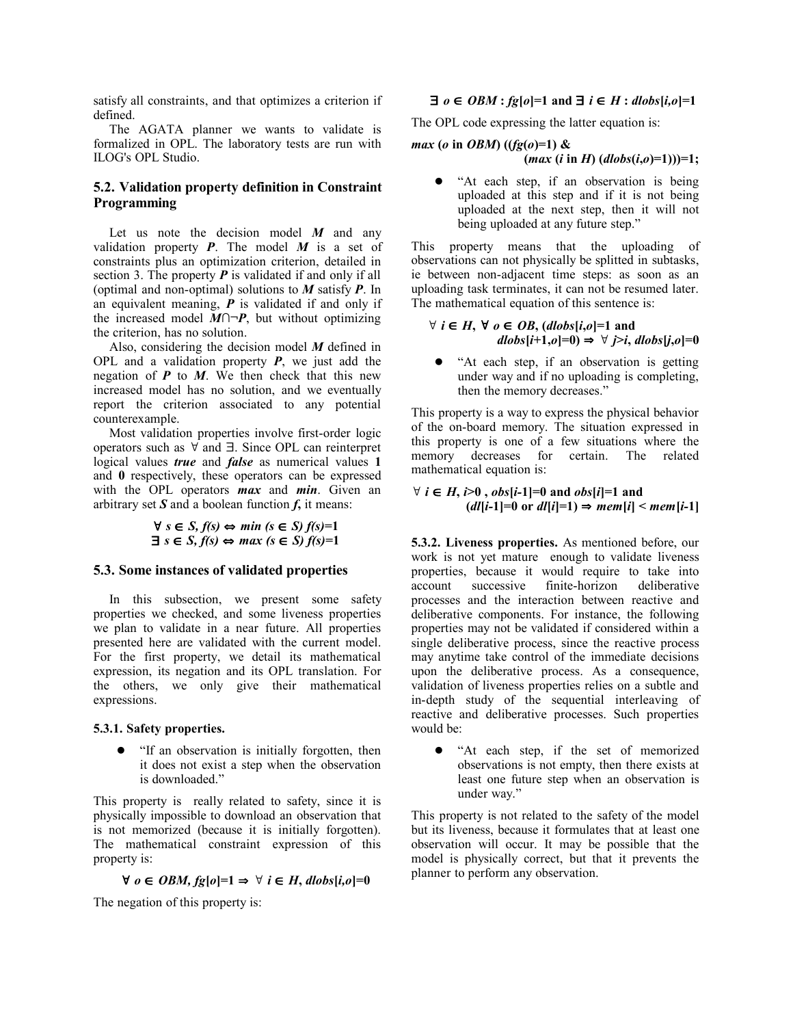satisfy all constraints, and that optimizes a criterion if defined.

The AGATA planner we wants to validate is formalized in OPL. The laboratory tests are run with ILOG's OPL Studio.

### **5.2. Validation property definition in Constraint Programming**

Let us note the decision model *M* and any validation property *P*. The model *M* is a set of constraints plus an optimization criterion, detailed in section 3. The property *P* is validated if and only if all (optimal and non-optimal) solutions to *M* satisfy *P*. In an equivalent meaning, *P* is validated if and only if the increased model *M∩¬P*, but without optimizing the criterion, has no solution.

Also, considering the decision model *M* defined in OPL and a validation property *P*, we just add the negation of *P* to *M*. We then check that this new increased model has no solution, and we eventually report the criterion associated to any potential counterexample.

Most validation properties involve first-order logic operators such as  $\forall$  and  $\exists$ . Since OPL can reinterpret logical values *true* and *false* as numerical values **1** and **0** respectively, these operators can be expressed with the OPL operators *max* and *min*. Given an arbitrary set *S* and a boolean function *f***,** it means:

> $\forall s \in S$ ,  $f(s) \Leftrightarrow min(s \in S) f(s)=1$  $\exists s \in S$ ,  $f(s) \Leftrightarrow max (s \in S) f(s)=1$

#### **5.3. Some instances of validated properties**

In this subsection, we present some safety properties we checked, and some liveness properties we plan to validate in a near future. All properties presented here are validated with the current model. For the first property, we detail its mathematical expression, its negation and its OPL translation. For the others, we only give their mathematical expressions.

#### **5.3.1. Safety properties.**

• "If an observation is initially forgotten, then it does not exist a step when the observation is downloaded."

This property is really related to safety, since it is physically impossible to download an observation that is not memorized (because it is initially forgotten). The mathematical constraint expression of this property is:

$$
\forall o \in OBM, fg[o] = 1 \Rightarrow \forall i \in H, dlobs[i,o] = 0
$$

The negation of this property is:

#### $\exists$   $o \in \text{OBM}$ :  $fg[o] = 1$  and  $\exists$   $i \in H$ :  $d\text{loss}[i,o] = 1$

The OPL code expressing the latter equation is:

#### *max* **(***o* **in** *OBM***) ((***fg***(***o***)=1) &**

# $(max (i in H) (d \, obs(i, o) = 1)) = 1;$

 "At each step, if an observation is being uploaded at this step and if it is not being uploaded at the next step, then it will not being uploaded at any future step."

This property means that the uploading of observations can not physically be splitted in subtasks, ie between non-adjacent time steps: as soon as an uploading task terminates, it can not be resumed later. The mathematical equation of this sentence is:

#### $\forall i \in H, \forall o \in OB$ , (*dlobs*[*i*,*o*]=1 and  $d\text{ }(\text{ }i\text{+}1,0|0) \Rightarrow \forall j>i, \text{ } d\text{ }(\text{ }i\text{+}0,0|0) \Rightarrow 0$

• "At each step, if an observation is getting under way and if no uploading is completing, then the memory decreases."

This property is a way to express the physical behavior of the on-board memory. The situation expressed in this property is one of a few situations where the memory decreases for certain. The related mathematical equation is:

#### $\forall i \in H, i \geq 0$ ,  $obs[i-1]=0$  and  $obs[i]=1$  and  $(d[|i-1|]=0 \text{ or } d[|i|=1) \Rightarrow mem[i] < mem[i-1]$

**5.3.2. Liveness properties.** As mentioned before, our work is not yet mature enough to validate liveness properties, because it would require to take into account successive finite-horizon deliberative processes and the interaction between reactive and deliberative components. For instance, the following properties may not be validated if considered within a single deliberative process, since the reactive process may anytime take control of the immediate decisions upon the deliberative process. As a consequence, validation of liveness properties relies on a subtle and in-depth study of the sequential interleaving of reactive and deliberative processes. Such properties would be:

 "At each step, if the set of memorized observations is not empty, then there exists at least one future step when an observation is under way."

This property is not related to the safety of the model but its liveness, because it formulates that at least one observation will occur. It may be possible that the model is physically correct, but that it prevents the planner to perform any observation.